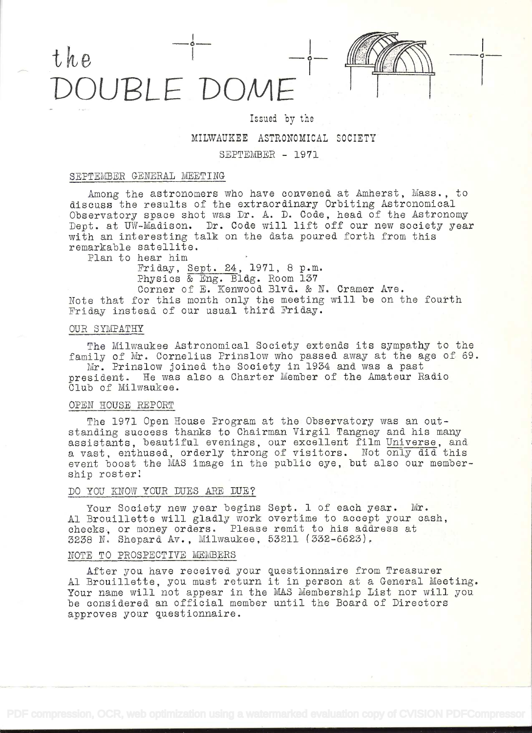

# Issued by the

MILWAUKEE ASTRONOMICAL SOCIETY

## SEPTEMBER - 1971

## SEPTEMBER GENERAL MEETING

Among the astronomers who have convened at Amherst, Mass., to discuss the results of the extraordinary Orbiting Astronomical Observatory space shot was Dr. A. D. Code, head of the Astronomy Dept. at UW-Madison. Dr. Code will lift off our new society year with an interesting talk on the data poured forth from this remarkable satellite.

Plan to hear him

Friday, Sept. 24, 1971, 8 p.m.<br>Physics & Eng. Bldg. Room 137

Corner of E. Kenwood Blvd. & N. Cramer Ave. Note that for this month only the meeting will be on the fourth Friday instead of our usual third Friday.

## OUR SYMPATHY

The Milwaukee Astronomical Society extends its sympathy to the family of Mr. Cornelius Prinslow who passed away at the age of 69.<br>Mr. Prinslow joined the Society in 1934 and was a past

president. He was also a Charter Member of the Amateur Radio Claò of Milwaukee.

#### OPEN HOUSE REPORT

The 1971 Open House Program at the Observatory was an out-<br>standing success thanks to Chairman Virgil Tangney and his many assistants, beautiful evenings, our excellent film Universe, and a vast, enthused, orderly throng of visitors. Not only did this event boost the MAS image in the public eye, but also our membership roster!

## DO YOU KNOW YOUR DUES ARE DUE?

Your Society new year begins Sept. 1 of each year. Mr. Al Brouillette will gladly work overtime to accept your cash, checks, or money orders. Please remit to his address at 3238 N. Shepard Av., Milwaukee, 53211 (332-6623).

## NOTE TO PROSPECTIVE MEMBERS

After you have received your questionnaire from Treasurer Al Brouillette, you must return it in person at a general Meeting. Your name will not appear in the MAS Membership List nor will you be considered an official member until the Board of Directors approves your questionnaire.